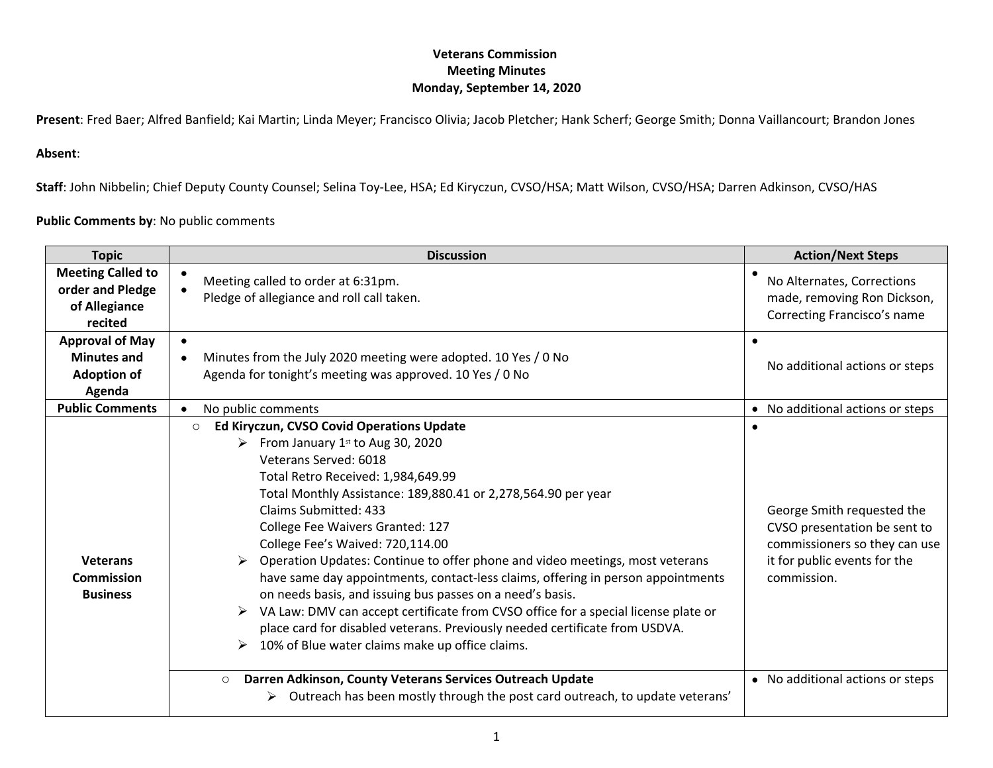**Present**: Fred Baer; Alfred Banfield; Kai Martin; Linda Meyer; Francisco Olivia; Jacob Pletcher; Hank Scherf; George Smith; Donna Vaillancourt; Brandon Jones

## **Absent**:

**Staff**: John Nibbelin; Chief Deputy County Counsel; Selina Toy-Lee, HSA; Ed Kiryczun, CVSO/HSA; Matt Wilson, CVSO/HSA; Darren Adkinson, CVSO/HAS

**Public Comments by**: No public comments

| <b>Topic</b>                                                                 | <b>Discussion</b>                                                                                                                                                                                                                                                                                                                                                                                                                                                                                                                                                                                                                                                                                                                                                                  | <b>Action/Next Steps</b>                                                                                                                   |
|------------------------------------------------------------------------------|------------------------------------------------------------------------------------------------------------------------------------------------------------------------------------------------------------------------------------------------------------------------------------------------------------------------------------------------------------------------------------------------------------------------------------------------------------------------------------------------------------------------------------------------------------------------------------------------------------------------------------------------------------------------------------------------------------------------------------------------------------------------------------|--------------------------------------------------------------------------------------------------------------------------------------------|
| <b>Meeting Called to</b><br>order and Pledge<br>of Allegiance<br>recited     | Meeting called to order at 6:31pm.<br>Pledge of allegiance and roll call taken.                                                                                                                                                                                                                                                                                                                                                                                                                                                                                                                                                                                                                                                                                                    | No Alternates, Corrections<br>made, removing Ron Dickson,<br>Correcting Francisco's name                                                   |
| <b>Approval of May</b><br><b>Minutes and</b><br><b>Adoption of</b><br>Agenda | $\bullet$<br>Minutes from the July 2020 meeting were adopted. 10 Yes / 0 No<br>$\bullet$<br>Agenda for tonight's meeting was approved. 10 Yes / 0 No                                                                                                                                                                                                                                                                                                                                                                                                                                                                                                                                                                                                                               | No additional actions or steps                                                                                                             |
| <b>Public Comments</b>                                                       | No public comments<br>$\bullet$                                                                                                                                                                                                                                                                                                                                                                                                                                                                                                                                                                                                                                                                                                                                                    | • No additional actions or steps                                                                                                           |
| <b>Veterans</b><br><b>Commission</b><br><b>Business</b>                      | Ed Kiryczun, CVSO Covid Operations Update<br>$\circ$<br>From January 1st to Aug 30, 2020<br>Veterans Served: 6018<br>Total Retro Received: 1,984,649.99<br>Total Monthly Assistance: 189,880.41 or 2,278,564.90 per year<br>Claims Submitted: 433<br>College Fee Waivers Granted: 127<br>College Fee's Waived: 720,114.00<br>Operation Updates: Continue to offer phone and video meetings, most veterans<br>have same day appointments, contact-less claims, offering in person appointments<br>on needs basis, and issuing bus passes on a need's basis.<br>VA Law: DMV can accept certificate from CVSO office for a special license plate or<br>place card for disabled veterans. Previously needed certificate from USDVA.<br>10% of Blue water claims make up office claims. | George Smith requested the<br>CVSO presentation be sent to<br>commissioners so they can use<br>it for public events for the<br>commission. |
|                                                                              | Darren Adkinson, County Veterans Services Outreach Update<br>$\circ$<br>$\triangleright$ Outreach has been mostly through the post card outreach, to update veterans'                                                                                                                                                                                                                                                                                                                                                                                                                                                                                                                                                                                                              | • No additional actions or steps                                                                                                           |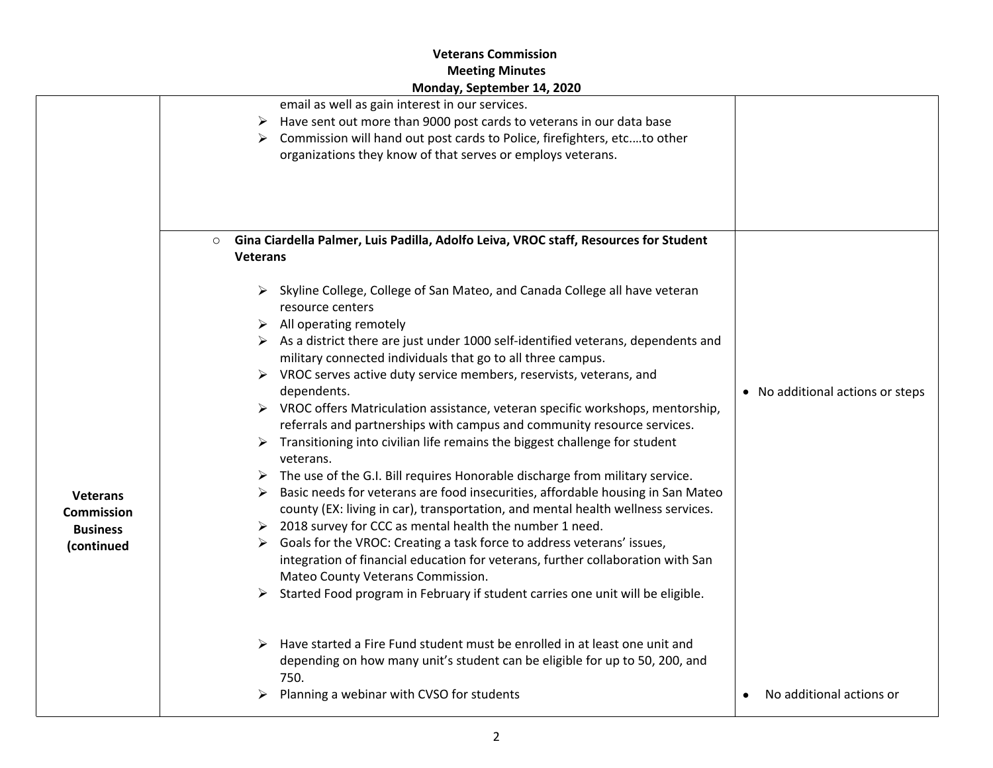|                                                                       | email as well as gain interest in our services.<br>Have sent out more than 9000 post cards to veterans in our data base                                                                                                                                                                                                                                                                                                                                                                                                                                                                                                                                                                                                                                                                                                                                                                                                                                                                                                                                                                                                                                                                                                                                                                                                                                                                                                 |                                       |
|-----------------------------------------------------------------------|-------------------------------------------------------------------------------------------------------------------------------------------------------------------------------------------------------------------------------------------------------------------------------------------------------------------------------------------------------------------------------------------------------------------------------------------------------------------------------------------------------------------------------------------------------------------------------------------------------------------------------------------------------------------------------------------------------------------------------------------------------------------------------------------------------------------------------------------------------------------------------------------------------------------------------------------------------------------------------------------------------------------------------------------------------------------------------------------------------------------------------------------------------------------------------------------------------------------------------------------------------------------------------------------------------------------------------------------------------------------------------------------------------------------------|---------------------------------------|
|                                                                       | Commission will hand out post cards to Police, firefighters, etcto other                                                                                                                                                                                                                                                                                                                                                                                                                                                                                                                                                                                                                                                                                                                                                                                                                                                                                                                                                                                                                                                                                                                                                                                                                                                                                                                                                |                                       |
|                                                                       | organizations they know of that serves or employs veterans.                                                                                                                                                                                                                                                                                                                                                                                                                                                                                                                                                                                                                                                                                                                                                                                                                                                                                                                                                                                                                                                                                                                                                                                                                                                                                                                                                             |                                       |
|                                                                       | Gina Ciardella Palmer, Luis Padilla, Adolfo Leiva, VROC staff, Resources for Student<br>$\circ$<br><b>Veterans</b>                                                                                                                                                                                                                                                                                                                                                                                                                                                                                                                                                                                                                                                                                                                                                                                                                                                                                                                                                                                                                                                                                                                                                                                                                                                                                                      |                                       |
| <b>Veterans</b><br><b>Commission</b><br><b>Business</b><br>(continued | > Skyline College, College of San Mateo, and Canada College all have veteran<br>resource centers<br>$\triangleright$ All operating remotely<br>$\triangleright$ As a district there are just under 1000 self-identified veterans, dependents and<br>military connected individuals that go to all three campus.<br>$\triangleright$ VROC serves active duty service members, reservists, veterans, and<br>dependents.<br>$\triangleright$ VROC offers Matriculation assistance, veteran specific workshops, mentorship,<br>referrals and partnerships with campus and community resource services.<br>$\triangleright$ Transitioning into civilian life remains the biggest challenge for student<br>veterans.<br>$\triangleright$ The use of the G.I. Bill requires Honorable discharge from military service.<br>Basic needs for veterans are food insecurities, affordable housing in San Mateo<br>county (EX: living in car), transportation, and mental health wellness services.<br>> 2018 survey for CCC as mental health the number 1 need.<br>Goals for the VROC: Creating a task force to address veterans' issues,<br>integration of financial education for veterans, further collaboration with San<br>Mateo County Veterans Commission.<br>> Started Food program in February if student carries one unit will be eligible.<br>Have started a Fire Fund student must be enrolled in at least one unit and | • No additional actions or steps      |
|                                                                       | depending on how many unit's student can be eligible for up to 50, 200, and<br>750.<br>$\triangleright$ Planning a webinar with CVSO for students                                                                                                                                                                                                                                                                                                                                                                                                                                                                                                                                                                                                                                                                                                                                                                                                                                                                                                                                                                                                                                                                                                                                                                                                                                                                       | No additional actions or<br>$\bullet$ |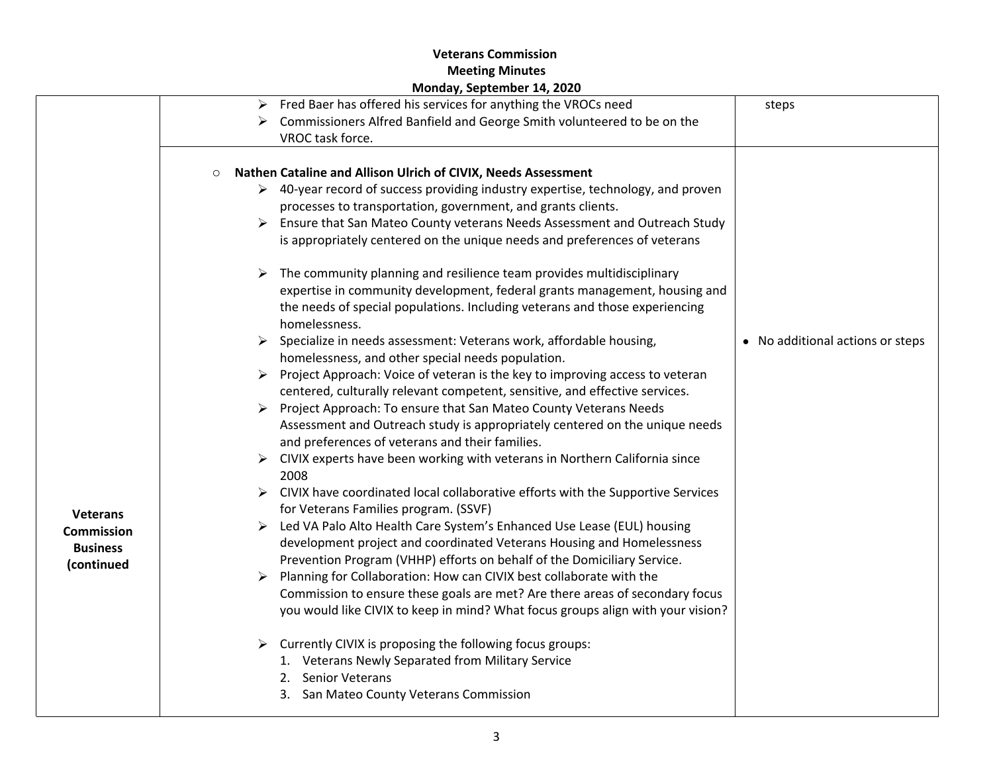|                                                                       | <b>IVIOHUAY, SEPLEMBER 14, ZUZU</b>                                                                                                                                                                                                                                                                                                                                                                                                                                                                                                                                                                                                                                                                                                                                                                                                                                                                                                                                                                                                                                                                                                                                                                                                                                                                                                                                                                                                                                                                                                                                                                                                                                                                                                                                                                                                                                                                                                                                                                                                                                             |                                  |
|-----------------------------------------------------------------------|---------------------------------------------------------------------------------------------------------------------------------------------------------------------------------------------------------------------------------------------------------------------------------------------------------------------------------------------------------------------------------------------------------------------------------------------------------------------------------------------------------------------------------------------------------------------------------------------------------------------------------------------------------------------------------------------------------------------------------------------------------------------------------------------------------------------------------------------------------------------------------------------------------------------------------------------------------------------------------------------------------------------------------------------------------------------------------------------------------------------------------------------------------------------------------------------------------------------------------------------------------------------------------------------------------------------------------------------------------------------------------------------------------------------------------------------------------------------------------------------------------------------------------------------------------------------------------------------------------------------------------------------------------------------------------------------------------------------------------------------------------------------------------------------------------------------------------------------------------------------------------------------------------------------------------------------------------------------------------------------------------------------------------------------------------------------------------|----------------------------------|
|                                                                       | Fred Baer has offered his services for anything the VROCs need<br>➤<br>Commissioners Alfred Banfield and George Smith volunteered to be on the<br>VROC task force.                                                                                                                                                                                                                                                                                                                                                                                                                                                                                                                                                                                                                                                                                                                                                                                                                                                                                                                                                                                                                                                                                                                                                                                                                                                                                                                                                                                                                                                                                                                                                                                                                                                                                                                                                                                                                                                                                                              | steps                            |
| <b>Veterans</b><br><b>Commission</b><br><b>Business</b><br>(continued | Nathen Cataline and Allison Ulrich of CIVIX, Needs Assessment<br>$\circ$<br>$\triangleright$ 40-year record of success providing industry expertise, technology, and proven<br>processes to transportation, government, and grants clients.<br>> Ensure that San Mateo County veterans Needs Assessment and Outreach Study<br>is appropriately centered on the unique needs and preferences of veterans<br>The community planning and resilience team provides multidisciplinary<br>➤<br>expertise in community development, federal grants management, housing and<br>the needs of special populations. Including veterans and those experiencing<br>homelessness.<br>Specialize in needs assessment: Veterans work, affordable housing,<br>➤<br>homelessness, and other special needs population.<br>Project Approach: Voice of veteran is the key to improving access to veteran<br>➤<br>centered, culturally relevant competent, sensitive, and effective services.<br>Project Approach: To ensure that San Mateo County Veterans Needs<br>Assessment and Outreach study is appropriately centered on the unique needs<br>and preferences of veterans and their families.<br>$\triangleright$ CIVIX experts have been working with veterans in Northern California since<br>2008<br>CIVIX have coordinated local collaborative efforts with the Supportive Services<br>for Veterans Families program. (SSVF)<br>Led VA Palo Alto Health Care System's Enhanced Use Lease (EUL) housing<br>development project and coordinated Veterans Housing and Homelessness<br>Prevention Program (VHHP) efforts on behalf of the Domiciliary Service.<br>Planning for Collaboration: How can CIVIX best collaborate with the<br>Commission to ensure these goals are met? Are there areas of secondary focus<br>you would like CIVIX to keep in mind? What focus groups align with your vision?<br>Currently CIVIX is proposing the following focus groups:<br>➤<br>1. Veterans Newly Separated from Military Service<br>2. Senior Veterans<br>3. San Mateo County Veterans Commission | • No additional actions or steps |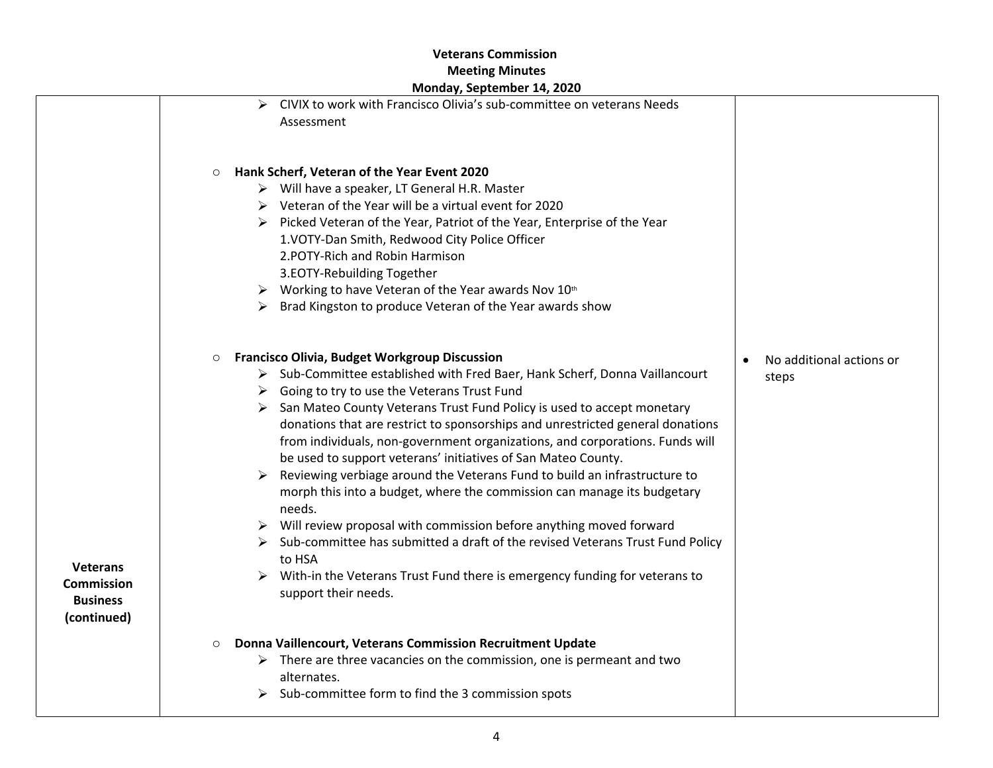|                                                                        | ivionaay, september 14, 2020                                                                                                                                                                                                                                                                                                                                                                                                                                                                                                                                                                                                                                                                                                                                                                                                                                                                                                                                                                  |
|------------------------------------------------------------------------|-----------------------------------------------------------------------------------------------------------------------------------------------------------------------------------------------------------------------------------------------------------------------------------------------------------------------------------------------------------------------------------------------------------------------------------------------------------------------------------------------------------------------------------------------------------------------------------------------------------------------------------------------------------------------------------------------------------------------------------------------------------------------------------------------------------------------------------------------------------------------------------------------------------------------------------------------------------------------------------------------|
|                                                                        | CIVIX to work with Francisco Olivia's sub-committee on veterans Needs<br>➤<br>Assessment                                                                                                                                                                                                                                                                                                                                                                                                                                                                                                                                                                                                                                                                                                                                                                                                                                                                                                      |
|                                                                        | Hank Scherf, Veteran of the Year Event 2020<br>$\circ$<br>> Will have a speaker, LT General H.R. Master<br>$\triangleright$ Veteran of the Year will be a virtual event for 2020<br>Picked Veteran of the Year, Patriot of the Year, Enterprise of the Year<br>➤<br>1.VOTY-Dan Smith, Redwood City Police Officer<br>2.POTY-Rich and Robin Harmison<br>3.EOTY-Rebuilding Together<br>Working to have Veteran of the Year awards Nov 10th<br>➤<br>Brad Kingston to produce Veteran of the Year awards show<br>➤                                                                                                                                                                                                                                                                                                                                                                                                                                                                                |
| <b>Veterans</b><br><b>Commission</b><br><b>Business</b><br>(continued) | <b>Francisco Olivia, Budget Workgroup Discussion</b><br>$\circ$<br>No additional actions or<br>> Sub-Committee established with Fred Baer, Hank Scherf, Donna Vaillancourt<br>steps<br>Going to try to use the Veterans Trust Fund<br>➤<br>San Mateo County Veterans Trust Fund Policy is used to accept monetary<br>donations that are restrict to sponsorships and unrestricted general donations<br>from individuals, non-government organizations, and corporations. Funds will<br>be used to support veterans' initiatives of San Mateo County.<br>Reviewing verbiage around the Veterans Fund to build an infrastructure to<br>morph this into a budget, where the commission can manage its budgetary<br>needs.<br>Will review proposal with commission before anything moved forward<br>Sub-committee has submitted a draft of the revised Veterans Trust Fund Policy<br>to HSA<br>With-in the Veterans Trust Fund there is emergency funding for veterans to<br>support their needs. |
|                                                                        | Donna Vaillencourt, Veterans Commission Recruitment Update<br>$\circ$<br>There are three vacancies on the commission, one is permeant and two<br>➤<br>alternates.                                                                                                                                                                                                                                                                                                                                                                                                                                                                                                                                                                                                                                                                                                                                                                                                                             |